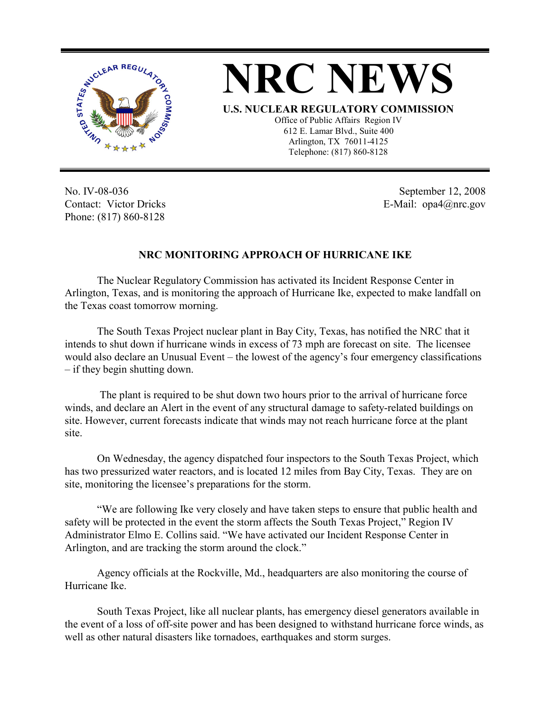

## **NRC NEWS**

**U.S. NUCLEAR REGULATORY COMMISSION**

Office of Public Affairs Region IV 612 E. Lamar Blvd., Suite 400 Arlington, TX 76011-4125 Telephone: (817) 860-8128

No. IV-08-036 Contact: Victor Dricks Phone: (817) 860-8128

September 12, 2008 E-Mail: opa4@nrc.gov

## **NRC MONITORING APPROACH OF HURRICANE IKE**

The Nuclear Regulatory Commission has activated its Incident Response Center in Arlington, Texas, and is monitoring the approach of Hurricane Ike, expected to make landfall on the Texas coast tomorrow morning.

The South Texas Project nuclear plant in Bay City, Texas, has notified the NRC that it intends to shut down if hurricane winds in excess of 73 mph are forecast on site. The licensee would also declare an Unusual Event – the lowest of the agency's four emergency classifications – if they begin shutting down.

 The plant is required to be shut down two hours prior to the arrival of hurricane force winds, and declare an Alert in the event of any structural damage to safety-related buildings on site. However, current forecasts indicate that winds may not reach hurricane force at the plant site.

On Wednesday, the agency dispatched four inspectors to the South Texas Project, which has two pressurized water reactors, and is located 12 miles from Bay City, Texas. They are on site, monitoring the licensee's preparations for the storm.

"We are following Ike very closely and have taken steps to ensure that public health and safety will be protected in the event the storm affects the South Texas Project," Region IV Administrator Elmo E. Collins said. "We have activated our Incident Response Center in Arlington, and are tracking the storm around the clock."

Agency officials at the Rockville, Md., headquarters are also monitoring the course of Hurricane Ike.

South Texas Project, like all nuclear plants, has emergency diesel generators available in the event of a loss of off-site power and has been designed to withstand hurricane force winds, as well as other natural disasters like tornadoes, earthquakes and storm surges.